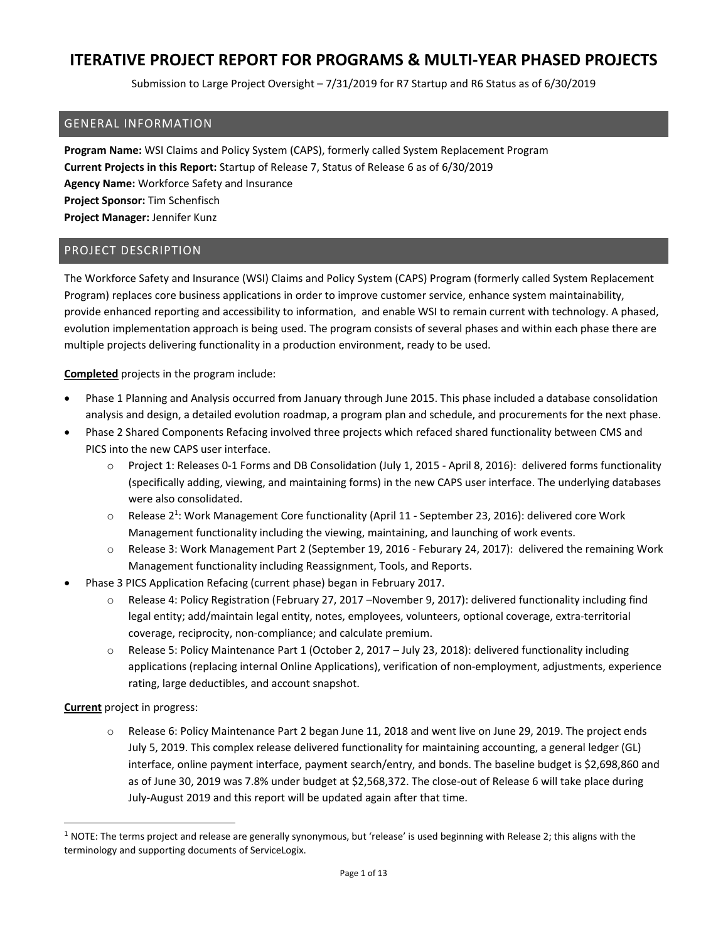Submission to Large Project Oversight – 7/31/2019 for R7 Startup and R6 Status as of 6/30/2019

#### GENERAL INFORMATION

**Program Name:** WSI Claims and Policy System (CAPS), formerly called System Replacement Program **Current Projects in this Report:** Startup of Release 7, Status of Release 6 as of 6/30/2019 **Agency Name:** Workforce Safety and Insurance **Project Sponsor:** Tim Schenfisch **Project Manager:** Jennifer Kunz

### PROJECT DESCRIPTION

The Workforce Safety and Insurance (WSI) Claims and Policy System (CAPS) Program (formerly called System Replacement Program) replaces core business applications in order to improve customer service, enhance system maintainability, provide enhanced reporting and accessibility to information, and enable WSI to remain current with technology. A phased, evolution implementation approach is being used. The program consists of several phases and within each phase there are multiple projects delivering functionality in a production environment, ready to be used.

**Completed** projects in the program include:

- Phase 1 Planning and Analysis occurred from January through June 2015. This phase included a database consolidation analysis and design, a detailed evolution roadmap, a program plan and schedule, and procurements for the next phase.
- Phase 2 Shared Components Refacing involved three projects which refaced shared functionality between CMS and PICS into the new CAPS user interface.
	- o Project 1: Releases 0‐1 Forms and DB Consolidation (July 1, 2015 ‐ April 8, 2016): delivered forms functionality (specifically adding, viewing, and maintaining forms) in the new CAPS user interface. The underlying databases were also consolidated.
	- Release 2<sup>1</sup>: Work Management Core functionality (April 11 September 23, 2016): delivered core Work Management functionality including the viewing, maintaining, and launching of work events.
	- o Release 3: Work Management Part 2 (September 19, 2016 ‐ Feburary 24, 2017): delivered the remaining Work Management functionality including Reassignment, Tools, and Reports.
- Phase 3 PICS Application Refacing (current phase) began in February 2017.
	- o Release 4: Policy Registration (February 27, 2017 –November 9, 2017): delivered functionality including find legal entity; add/maintain legal entity, notes, employees, volunteers, optional coverage, extra-territorial coverage, reciprocity, non‐compliance; and calculate premium.
	- o Release 5: Policy Maintenance Part 1 (October 2, 2017 July 23, 2018): delivered functionality including applications (replacing internal Online Applications), verification of non‐employment, adjustments, experience rating, large deductibles, and account snapshot.

**Current** project in progress:

o Release 6: Policy Maintenance Part 2 began June 11, 2018 and went live on June 29, 2019. The project ends July 5, 2019. This complex release delivered functionality for maintaining accounting, a general ledger (GL) interface, online payment interface, payment search/entry, and bonds. The baseline budget is \$2,698,860 and as of June 30, 2019 was 7.8% under budget at \$2,568,372. The close‐out of Release 6 will take place during July‐August 2019 and this report will be updated again after that time.

 $1$  NOTE: The terms project and release are generally synonymous, but 'release' is used beginning with Release 2; this aligns with the terminology and supporting documents of ServiceLogix.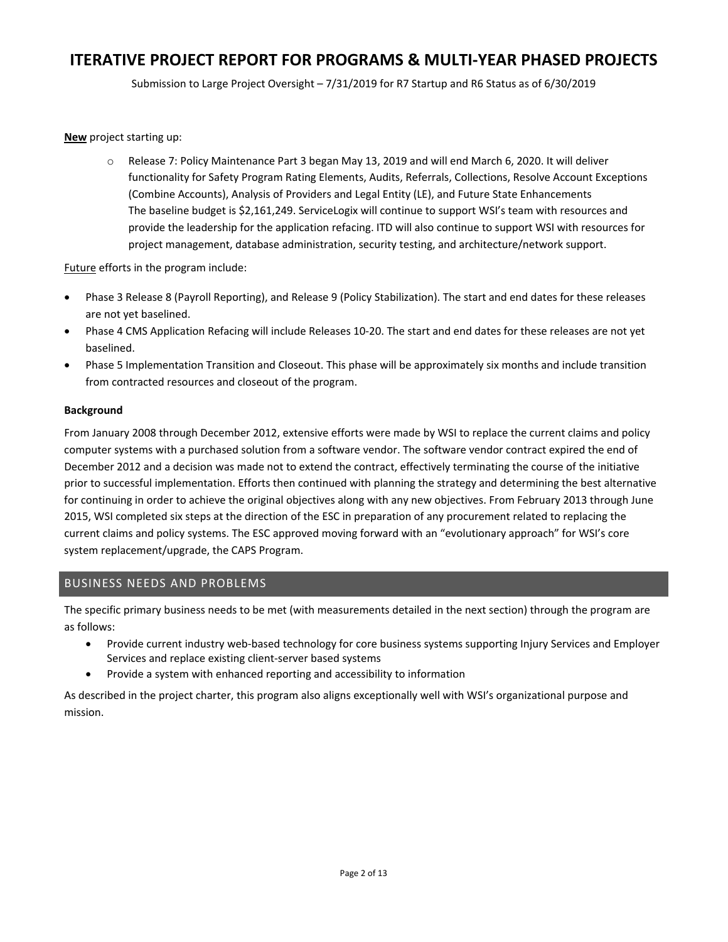Submission to Large Project Oversight – 7/31/2019 for R7 Startup and R6 Status as of 6/30/2019

**New** project starting up:

o Release 7: Policy Maintenance Part 3 began May 13, 2019 and will end March 6, 2020. It will deliver functionality for Safety Program Rating Elements, Audits, Referrals, Collections, Resolve Account Exceptions (Combine Accounts), Analysis of Providers and Legal Entity (LE), and Future State Enhancements The baseline budget is \$2,161,249. ServiceLogix will continue to support WSI's team with resources and provide the leadership for the application refacing. ITD will also continue to support WSI with resources for project management, database administration, security testing, and architecture/network support.

Future efforts in the program include:

- Phase 3 Release 8 (Payroll Reporting), and Release 9 (Policy Stabilization). The start and end dates for these releases are not yet baselined.
- Phase 4 CMS Application Refacing will include Releases 10‐20. The start and end dates for these releases are not yet baselined.
- Phase 5 Implementation Transition and Closeout. This phase will be approximately six months and include transition from contracted resources and closeout of the program.

#### **Background**

From January 2008 through December 2012, extensive efforts were made by WSI to replace the current claims and policy computer systems with a purchased solution from a software vendor. The software vendor contract expired the end of December 2012 and a decision was made not to extend the contract, effectively terminating the course of the initiative prior to successful implementation. Efforts then continued with planning the strategy and determining the best alternative for continuing in order to achieve the original objectives along with any new objectives. From February 2013 through June 2015, WSI completed six steps at the direction of the ESC in preparation of any procurement related to replacing the current claims and policy systems. The ESC approved moving forward with an "evolutionary approach" for WSI's core system replacement/upgrade, the CAPS Program.

### BUSINESS NEEDS AND PROBLEMS

The specific primary business needs to be met (with measurements detailed in the next section) through the program are as follows:

- Provide current industry web‐based technology for core business systems supporting Injury Services and Employer Services and replace existing client‐server based systems
- Provide a system with enhanced reporting and accessibility to information

As described in the project charter, this program also aligns exceptionally well with WSI's organizational purpose and mission.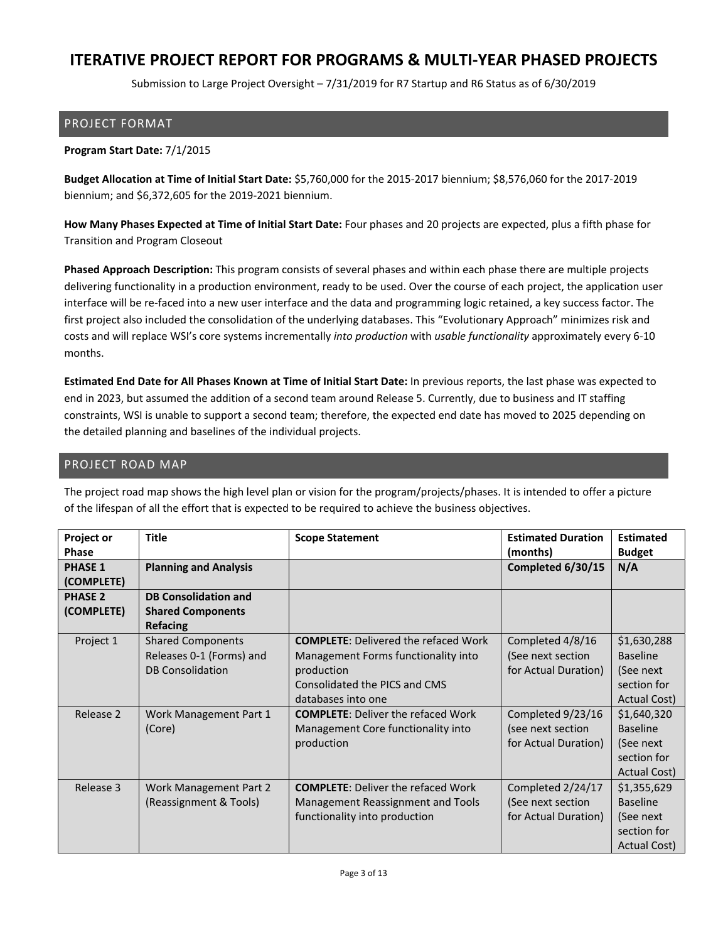Submission to Large Project Oversight – 7/31/2019 for R7 Startup and R6 Status as of 6/30/2019

#### PROJECT FORMAT

#### **Program Start Date:** 7/1/2015

**Budget Allocation at Time of Initial Start Date:** \$5,760,000 for the 2015‐2017 biennium; \$8,576,060 for the 2017‐2019 biennium; and \$6,372,605 for the 2019‐2021 biennium.

**How Many Phases Expected at Time of Initial Start Date:** Four phases and 20 projects are expected, plus a fifth phase for Transition and Program Closeout

**Phased Approach Description:** This program consists of several phases and within each phase there are multiple projects delivering functionality in a production environment, ready to be used. Over the course of each project, the application user interface will be re‐faced into a new user interface and the data and programming logic retained, a key success factor. The first project also included the consolidation of the underlying databases. This "Evolutionary Approach" minimizes risk and costs and will replace WSI's core systems incrementally *into production* with *usable functionality* approximately every 6‐10 months.

**Estimated End Date for All Phases Known at Time of Initial Start Date:** In previous reports, the last phase was expected to end in 2023, but assumed the addition of a second team around Release 5. Currently, due to business and IT staffing constraints, WSI is unable to support a second team; therefore, the expected end date has moved to 2025 depending on the detailed planning and baselines of the individual projects.

### PROJECT ROAD MAP

| Project or<br><b>Phase</b>   | <b>Title</b>                 | <b>Scope Statement</b>                      | <b>Estimated Duration</b><br>(months) | <b>Estimated</b><br><b>Budget</b> |
|------------------------------|------------------------------|---------------------------------------------|---------------------------------------|-----------------------------------|
| <b>PHASE 1</b><br>(COMPLETE) | <b>Planning and Analysis</b> |                                             | Completed 6/30/15                     | N/A                               |
| <b>PHASE 2</b>               | <b>DB Consolidation and</b>  |                                             |                                       |                                   |
| (COMPLETE)                   | <b>Shared Components</b>     |                                             |                                       |                                   |
|                              | <b>Refacing</b>              |                                             |                                       |                                   |
| Project 1                    | <b>Shared Components</b>     | <b>COMPLETE:</b> Delivered the refaced Work | Completed 4/8/16                      | \$1,630,288                       |
|                              | Releases 0-1 (Forms) and     | Management Forms functionality into         | (See next section                     | <b>Baseline</b>                   |
|                              | <b>DB Consolidation</b>      | production                                  | for Actual Duration)                  | (See next)                        |
|                              |                              | Consolidated the PICS and CMS               |                                       | section for                       |
|                              |                              | databases into one                          |                                       | Actual Cost)                      |
| Release 2                    | Work Management Part 1       | <b>COMPLETE: Deliver the refaced Work</b>   | Completed 9/23/16                     | \$1,640,320                       |
|                              | (Core)                       | Management Core functionality into          | (see next section                     | <b>Baseline</b>                   |
|                              |                              | production                                  | for Actual Duration)                  | (See next                         |
|                              |                              |                                             |                                       | section for                       |
|                              |                              |                                             |                                       | Actual Cost)                      |
| Release 3                    | Work Management Part 2       | <b>COMPLETE: Deliver the refaced Work</b>   | Completed 2/24/17                     | \$1,355,629                       |
|                              | (Reassignment & Tools)       | Management Reassignment and Tools           | (See next section                     | <b>Baseline</b>                   |
|                              |                              | functionality into production               | for Actual Duration)                  | (See next)                        |
|                              |                              |                                             |                                       | section for                       |
|                              |                              |                                             |                                       | Actual Cost)                      |

The project road map shows the high level plan or vision for the program/projects/phases. It is intended to offer a picture of the lifespan of all the effort that is expected to be required to achieve the business objectives.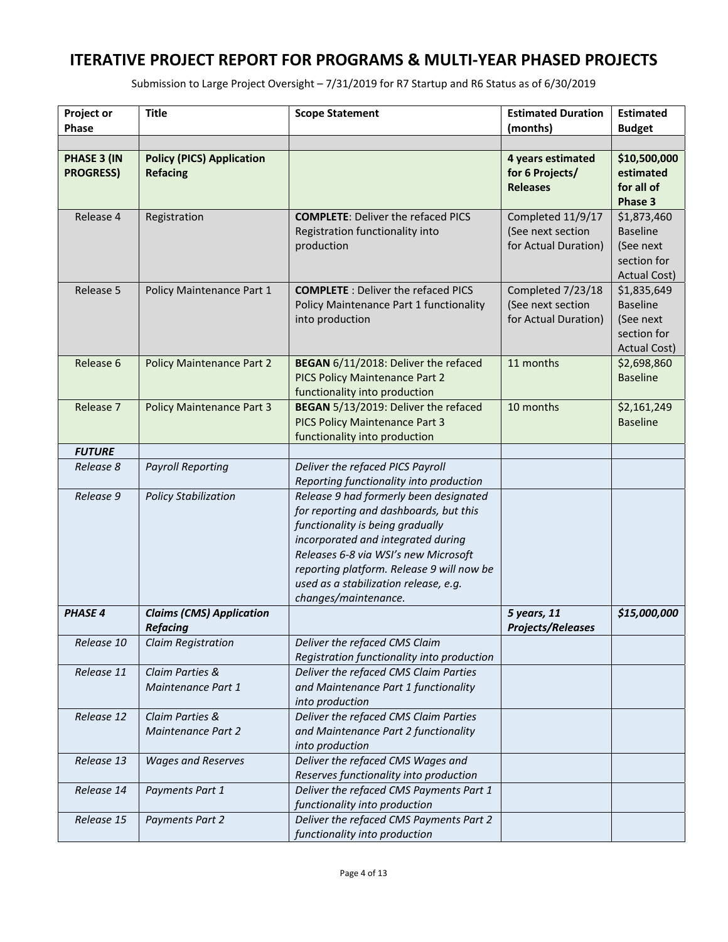| Project or<br><b>Phase</b>      | <b>Title</b>                                        | <b>Scope Statement</b>                                                                                                                                                                                                                                                                                           | <b>Estimated Duration</b><br>(months)                          | <b>Estimated</b><br><b>Budget</b>                                                 |
|---------------------------------|-----------------------------------------------------|------------------------------------------------------------------------------------------------------------------------------------------------------------------------------------------------------------------------------------------------------------------------------------------------------------------|----------------------------------------------------------------|-----------------------------------------------------------------------------------|
| PHASE 3 (IN<br><b>PROGRESS)</b> | <b>Policy (PICS) Application</b><br><b>Refacing</b> |                                                                                                                                                                                                                                                                                                                  | 4 years estimated<br>for 6 Projects/<br><b>Releases</b>        | \$10,500,000<br>estimated<br>for all of<br>Phase 3                                |
| Release 4                       | Registration                                        | <b>COMPLETE: Deliver the refaced PICS</b><br>Registration functionality into<br>production                                                                                                                                                                                                                       | Completed 11/9/17<br>(See next section<br>for Actual Duration) | \$1,873,460<br><b>Baseline</b><br>(See next<br>section for<br><b>Actual Cost)</b> |
| Release 5                       | Policy Maintenance Part 1                           | <b>COMPLETE</b> : Deliver the refaced PICS<br>Policy Maintenance Part 1 functionality<br>into production                                                                                                                                                                                                         | Completed 7/23/18<br>(See next section<br>for Actual Duration) | \$1,835,649<br><b>Baseline</b><br>(See next<br>section for<br><b>Actual Cost)</b> |
| Release 6                       | <b>Policy Maintenance Part 2</b>                    | BEGAN 6/11/2018: Deliver the refaced<br>PICS Policy Maintenance Part 2<br>functionality into production                                                                                                                                                                                                          | 11 months                                                      | \$2,698,860<br><b>Baseline</b>                                                    |
| Release 7                       | <b>Policy Maintenance Part 3</b>                    | BEGAN 5/13/2019: Deliver the refaced<br>PICS Policy Maintenance Part 3<br>functionality into production                                                                                                                                                                                                          | 10 months                                                      | \$2,161,249<br><b>Baseline</b>                                                    |
| <b>FUTURE</b>                   |                                                     |                                                                                                                                                                                                                                                                                                                  |                                                                |                                                                                   |
| Release 8                       | <b>Payroll Reporting</b>                            | Deliver the refaced PICS Payroll<br>Reporting functionality into production                                                                                                                                                                                                                                      |                                                                |                                                                                   |
| Release 9                       | <b>Policy Stabilization</b>                         | Release 9 had formerly been designated<br>for reporting and dashboards, but this<br>functionality is being gradually<br>incorporated and integrated during<br>Releases 6-8 via WSI's new Microsoft<br>reporting platform. Release 9 will now be<br>used as a stabilization release, e.g.<br>changes/maintenance. |                                                                |                                                                                   |
| <b>PHASE 4</b>                  | <b>Claims (CMS) Application</b><br><b>Refacing</b>  |                                                                                                                                                                                                                                                                                                                  | 5 years, 11<br><b>Projects/Releases</b>                        | \$15,000,000                                                                      |
| Release 10                      | Claim Registration                                  | Deliver the refaced CMS Claim<br>Registration functionality into production                                                                                                                                                                                                                                      |                                                                |                                                                                   |
| Release 11                      | Claim Parties &<br>Maintenance Part 1               | Deliver the refaced CMS Claim Parties<br>and Maintenance Part 1 functionality<br>into production                                                                                                                                                                                                                 |                                                                |                                                                                   |
| Release 12                      | Claim Parties &<br>Maintenance Part 2               | Deliver the refaced CMS Claim Parties<br>and Maintenance Part 2 functionality<br>into production                                                                                                                                                                                                                 |                                                                |                                                                                   |
| Release 13                      | <b>Wages and Reserves</b>                           | Deliver the refaced CMS Wages and<br>Reserves functionality into production                                                                                                                                                                                                                                      |                                                                |                                                                                   |
| Release 14                      | Payments Part 1                                     | Deliver the refaced CMS Payments Part 1<br>functionality into production                                                                                                                                                                                                                                         |                                                                |                                                                                   |
| Release 15                      | <b>Payments Part 2</b>                              | Deliver the refaced CMS Payments Part 2<br>functionality into production                                                                                                                                                                                                                                         |                                                                |                                                                                   |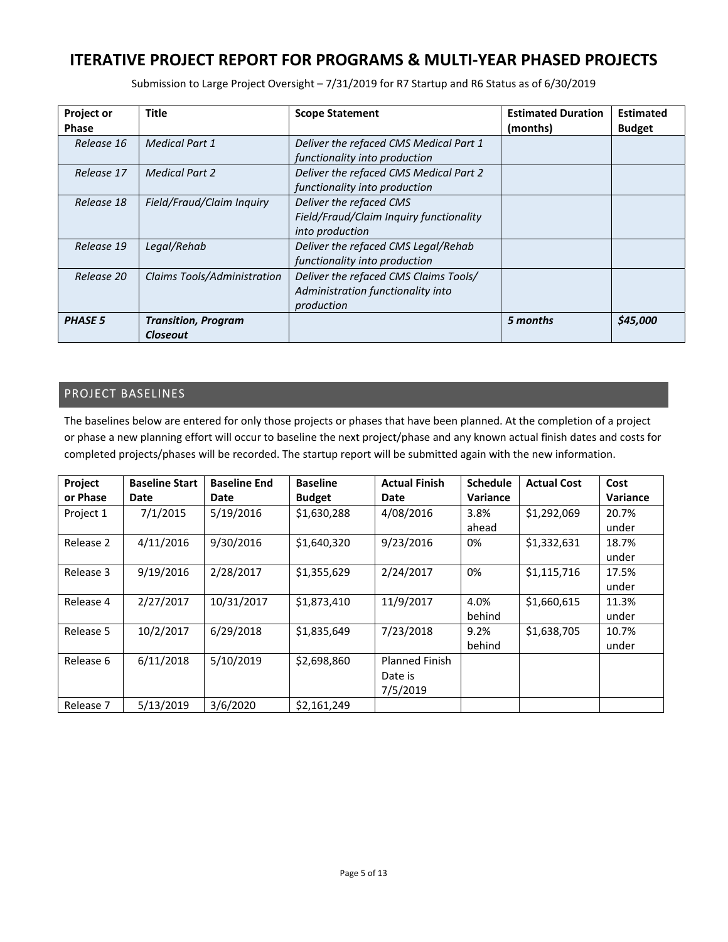| Submission to Large Project Oversight - 7/31/2019 for R7 Startup and R6 Status as of 6/30/2019 |  |  |  |  |  |
|------------------------------------------------------------------------------------------------|--|--|--|--|--|
|------------------------------------------------------------------------------------------------|--|--|--|--|--|

| <b>Project or</b> | <b>Title</b>                | <b>Scope Statement</b>                  | <b>Estimated Duration</b> | <b>Estimated</b> |
|-------------------|-----------------------------|-----------------------------------------|---------------------------|------------------|
| <b>Phase</b>      |                             |                                         | (months)                  | <b>Budget</b>    |
| Release 16        | <b>Medical Part 1</b>       | Deliver the refaced CMS Medical Part 1  |                           |                  |
|                   |                             | functionality into production           |                           |                  |
| Release 17        | <b>Medical Part 2</b>       | Deliver the refaced CMS Medical Part 2  |                           |                  |
|                   |                             | functionality into production           |                           |                  |
| Release 18        | Field/Fraud/Claim Inquiry   | Deliver the refaced CMS                 |                           |                  |
|                   |                             | Field/Fraud/Claim Inquiry functionality |                           |                  |
|                   |                             | into production                         |                           |                  |
| Release 19        | Legal/Rehab                 | Deliver the refaced CMS Legal/Rehab     |                           |                  |
|                   |                             | functionality into production           |                           |                  |
| Release 20        | Claims Tools/Administration | Deliver the refaced CMS Claims Tools/   |                           |                  |
|                   |                             | Administration functionality into       |                           |                  |
|                   |                             | production                              |                           |                  |
| <b>PHASE 5</b>    | <b>Transition, Program</b>  |                                         | 5 months                  | \$45,000         |
|                   | Closeout                    |                                         |                           |                  |

### PROJECT BASELINES

The baselines below are entered for only those projects or phases that have been planned. At the completion of a project or phase a new planning effort will occur to baseline the next project/phase and any known actual finish dates and costs for completed projects/phases will be recorded. The startup report will be submitted again with the new information.

| Project   | <b>Baseline Start</b> | <b>Baseline End</b> | <b>Baseline</b> | <b>Actual Finish</b>  | <b>Schedule</b> | <b>Actual Cost</b> | Cost            |
|-----------|-----------------------|---------------------|-----------------|-----------------------|-----------------|--------------------|-----------------|
| or Phase  | Date                  | Date                | <b>Budget</b>   | Date                  | Variance        |                    | <b>Variance</b> |
| Project 1 | 7/1/2015              | 5/19/2016           | \$1,630,288     | 4/08/2016             | 3.8%            | \$1,292,069        | 20.7%           |
|           |                       |                     |                 |                       | ahead           |                    | under           |
| Release 2 | 4/11/2016             | 9/30/2016           | \$1,640,320     | 9/23/2016             | 0%              | \$1,332,631        | 18.7%           |
|           |                       |                     |                 |                       |                 |                    | under           |
| Release 3 | 9/19/2016             | 2/28/2017           | \$1,355,629     | 2/24/2017             | 0%              | \$1,115,716        | 17.5%           |
|           |                       |                     |                 |                       |                 |                    | under           |
| Release 4 | 2/27/2017             | 10/31/2017          | \$1,873,410     | 11/9/2017             | 4.0%            | \$1,660,615        | 11.3%           |
|           |                       |                     |                 |                       | behind          |                    | under           |
| Release 5 | 10/2/2017             | 6/29/2018           | \$1,835,649     | 7/23/2018             | 9.2%            | \$1,638,705        | 10.7%           |
|           |                       |                     |                 |                       | behind          |                    | under           |
| Release 6 | 6/11/2018             | 5/10/2019           | \$2,698,860     | <b>Planned Finish</b> |                 |                    |                 |
|           |                       |                     |                 | Date is               |                 |                    |                 |
|           |                       |                     |                 | 7/5/2019              |                 |                    |                 |
| Release 7 | 5/13/2019             | 3/6/2020            | \$2,161,249     |                       |                 |                    |                 |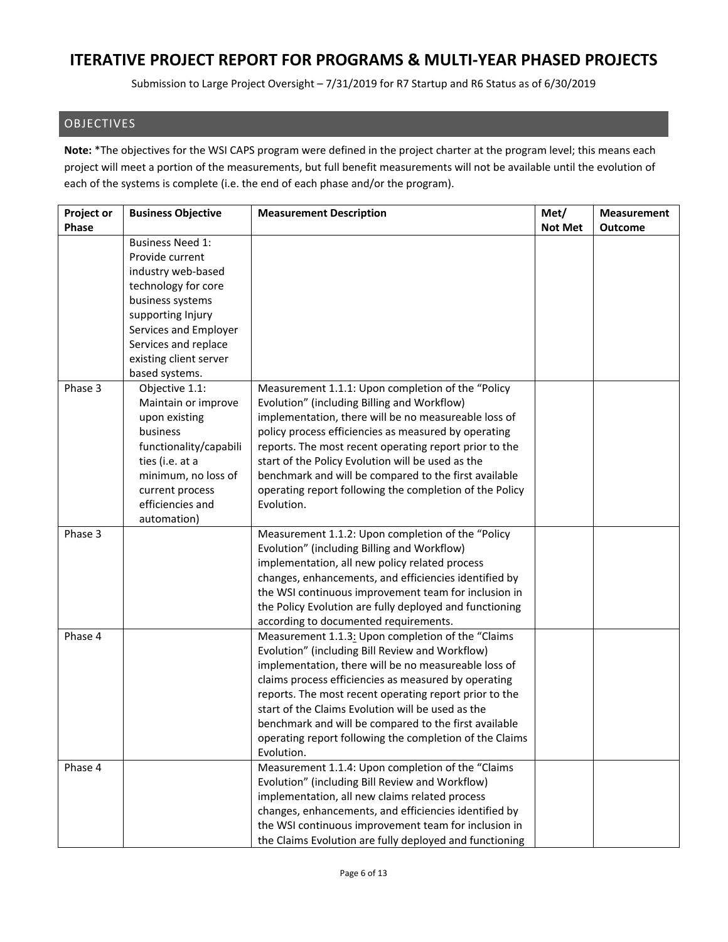Submission to Large Project Oversight – 7/31/2019 for R7 Startup and R6 Status as of 6/30/2019

#### OBJECTIVES

**Note:** \*The objectives for the WSI CAPS program were defined in the project charter at the program level; this means each project will meet a portion of the measurements, but full benefit measurements will not be available until the evolution of each of the systems is complete (i.e. the end of each phase and/or the program).

| <b>Project or</b> | <b>Business Objective</b> | <b>Measurement Description</b>                          | Met/           | <b>Measurement</b> |
|-------------------|---------------------------|---------------------------------------------------------|----------------|--------------------|
| Phase             |                           |                                                         | <b>Not Met</b> | <b>Outcome</b>     |
|                   | <b>Business Need 1:</b>   |                                                         |                |                    |
|                   | Provide current           |                                                         |                |                    |
|                   | industry web-based        |                                                         |                |                    |
|                   | technology for core       |                                                         |                |                    |
|                   | business systems          |                                                         |                |                    |
|                   | supporting Injury         |                                                         |                |                    |
|                   | Services and Employer     |                                                         |                |                    |
|                   | Services and replace      |                                                         |                |                    |
|                   | existing client server    |                                                         |                |                    |
|                   | based systems.            |                                                         |                |                    |
| Phase 3           | Objective 1.1:            | Measurement 1.1.1: Upon completion of the "Policy       |                |                    |
|                   | Maintain or improve       | Evolution" (including Billing and Workflow)             |                |                    |
|                   | upon existing             | implementation, there will be no measureable loss of    |                |                    |
|                   | business                  | policy process efficiencies as measured by operating    |                |                    |
|                   | functionality/capabili    | reports. The most recent operating report prior to the  |                |                    |
|                   | ties (i.e. at a           | start of the Policy Evolution will be used as the       |                |                    |
|                   | minimum, no loss of       | benchmark and will be compared to the first available   |                |                    |
|                   | current process           | operating report following the completion of the Policy |                |                    |
|                   | efficiencies and          | Evolution.                                              |                |                    |
|                   | automation)               |                                                         |                |                    |
| Phase 3           |                           | Measurement 1.1.2: Upon completion of the "Policy       |                |                    |
|                   |                           | Evolution" (including Billing and Workflow)             |                |                    |
|                   |                           | implementation, all new policy related process          |                |                    |
|                   |                           | changes, enhancements, and efficiencies identified by   |                |                    |
|                   |                           | the WSI continuous improvement team for inclusion in    |                |                    |
|                   |                           | the Policy Evolution are fully deployed and functioning |                |                    |
|                   |                           | according to documented requirements.                   |                |                    |
| Phase 4           |                           | Measurement 1.1.3: Upon completion of the "Claims"      |                |                    |
|                   |                           | Evolution" (including Bill Review and Workflow)         |                |                    |
|                   |                           | implementation, there will be no measureable loss of    |                |                    |
|                   |                           | claims process efficiencies as measured by operating    |                |                    |
|                   |                           | reports. The most recent operating report prior to the  |                |                    |
|                   |                           | start of the Claims Evolution will be used as the       |                |                    |
|                   |                           | benchmark and will be compared to the first available   |                |                    |
|                   |                           | operating report following the completion of the Claims |                |                    |
|                   |                           | Evolution.                                              |                |                    |
| Phase 4           |                           | Measurement 1.1.4: Upon completion of the "Claims       |                |                    |
|                   |                           | Evolution" (including Bill Review and Workflow)         |                |                    |
|                   |                           | implementation, all new claims related process          |                |                    |
|                   |                           | changes, enhancements, and efficiencies identified by   |                |                    |
|                   |                           | the WSI continuous improvement team for inclusion in    |                |                    |
|                   |                           | the Claims Evolution are fully deployed and functioning |                |                    |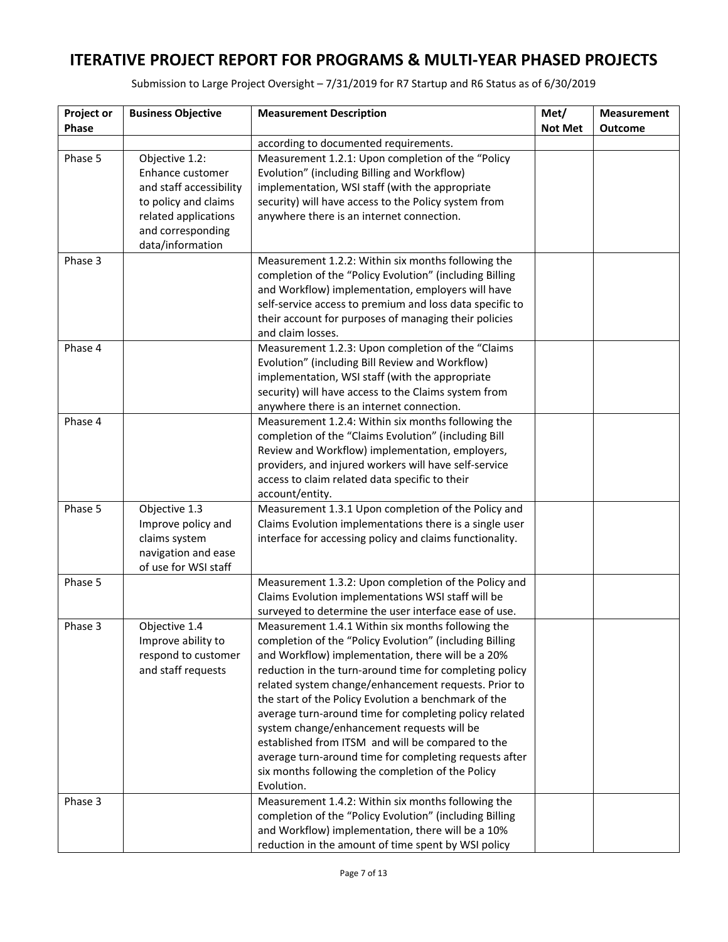| Project or | <b>Business Objective</b>                   | <b>Measurement Description</b>                                                                                                                                                                                                                                                               | Met/           | <b>Measurement</b> |
|------------|---------------------------------------------|----------------------------------------------------------------------------------------------------------------------------------------------------------------------------------------------------------------------------------------------------------------------------------------------|----------------|--------------------|
| Phase      |                                             |                                                                                                                                                                                                                                                                                              | <b>Not Met</b> | Outcome            |
|            |                                             | according to documented requirements.                                                                                                                                                                                                                                                        |                |                    |
| Phase 5    | Objective 1.2:                              | Measurement 1.2.1: Upon completion of the "Policy                                                                                                                                                                                                                                            |                |                    |
|            | Enhance customer                            | Evolution" (including Billing and Workflow)                                                                                                                                                                                                                                                  |                |                    |
|            | and staff accessibility                     | implementation, WSI staff (with the appropriate                                                                                                                                                                                                                                              |                |                    |
|            | to policy and claims                        | security) will have access to the Policy system from                                                                                                                                                                                                                                         |                |                    |
|            | related applications                        | anywhere there is an internet connection.                                                                                                                                                                                                                                                    |                |                    |
|            | and corresponding                           |                                                                                                                                                                                                                                                                                              |                |                    |
|            | data/information                            |                                                                                                                                                                                                                                                                                              |                |                    |
| Phase 3    |                                             | Measurement 1.2.2: Within six months following the<br>completion of the "Policy Evolution" (including Billing                                                                                                                                                                                |                |                    |
|            |                                             | and Workflow) implementation, employers will have                                                                                                                                                                                                                                            |                |                    |
|            |                                             | self-service access to premium and loss data specific to                                                                                                                                                                                                                                     |                |                    |
|            |                                             | their account for purposes of managing their policies                                                                                                                                                                                                                                        |                |                    |
|            |                                             | and claim losses.                                                                                                                                                                                                                                                                            |                |                    |
| Phase 4    |                                             | Measurement 1.2.3: Upon completion of the "Claims                                                                                                                                                                                                                                            |                |                    |
|            |                                             | Evolution" (including Bill Review and Workflow)                                                                                                                                                                                                                                              |                |                    |
|            |                                             | implementation, WSI staff (with the appropriate                                                                                                                                                                                                                                              |                |                    |
|            |                                             | security) will have access to the Claims system from                                                                                                                                                                                                                                         |                |                    |
|            |                                             | anywhere there is an internet connection.                                                                                                                                                                                                                                                    |                |                    |
| Phase 4    |                                             | Measurement 1.2.4: Within six months following the                                                                                                                                                                                                                                           |                |                    |
|            |                                             | completion of the "Claims Evolution" (including Bill                                                                                                                                                                                                                                         |                |                    |
|            |                                             | Review and Workflow) implementation, employers,                                                                                                                                                                                                                                              |                |                    |
|            |                                             | providers, and injured workers will have self-service                                                                                                                                                                                                                                        |                |                    |
|            |                                             | access to claim related data specific to their                                                                                                                                                                                                                                               |                |                    |
|            |                                             | account/entity.                                                                                                                                                                                                                                                                              |                |                    |
| Phase 5    | Objective 1.3                               | Measurement 1.3.1 Upon completion of the Policy and                                                                                                                                                                                                                                          |                |                    |
|            | Improve policy and                          | Claims Evolution implementations there is a single user                                                                                                                                                                                                                                      |                |                    |
|            | claims system                               | interface for accessing policy and claims functionality.                                                                                                                                                                                                                                     |                |                    |
|            | navigation and ease<br>of use for WSI staff |                                                                                                                                                                                                                                                                                              |                |                    |
| Phase 5    |                                             | Measurement 1.3.2: Upon completion of the Policy and                                                                                                                                                                                                                                         |                |                    |
|            |                                             | Claims Evolution implementations WSI staff will be                                                                                                                                                                                                                                           |                |                    |
|            |                                             | surveyed to determine the user interface ease of use.                                                                                                                                                                                                                                        |                |                    |
| Phase 3    | Objective 1.4                               | Measurement 1.4.1 Within six months following the                                                                                                                                                                                                                                            |                |                    |
|            | Improve ability to                          | completion of the "Policy Evolution" (including Billing                                                                                                                                                                                                                                      |                |                    |
|            | respond to customer                         | and Workflow) implementation, there will be a 20%                                                                                                                                                                                                                                            |                |                    |
|            | and staff requests                          | reduction in the turn-around time for completing policy                                                                                                                                                                                                                                      |                |                    |
|            |                                             | related system change/enhancement requests. Prior to                                                                                                                                                                                                                                         |                |                    |
|            |                                             | the start of the Policy Evolution a benchmark of the                                                                                                                                                                                                                                         |                |                    |
|            |                                             | average turn-around time for completing policy related                                                                                                                                                                                                                                       |                |                    |
|            |                                             | system change/enhancement requests will be                                                                                                                                                                                                                                                   |                |                    |
|            |                                             | established from ITSM and will be compared to the                                                                                                                                                                                                                                            |                |                    |
|            |                                             | average turn-around time for completing requests after                                                                                                                                                                                                                                       |                |                    |
|            |                                             |                                                                                                                                                                                                                                                                                              |                |                    |
|            |                                             |                                                                                                                                                                                                                                                                                              |                |                    |
|            |                                             |                                                                                                                                                                                                                                                                                              |                |                    |
|            |                                             |                                                                                                                                                                                                                                                                                              |                |                    |
|            |                                             |                                                                                                                                                                                                                                                                                              |                |                    |
| Phase 3    |                                             | six months following the completion of the Policy<br>Evolution.<br>Measurement 1.4.2: Within six months following the<br>completion of the "Policy Evolution" (including Billing<br>and Workflow) implementation, there will be a 10%<br>reduction in the amount of time spent by WSI policy |                |                    |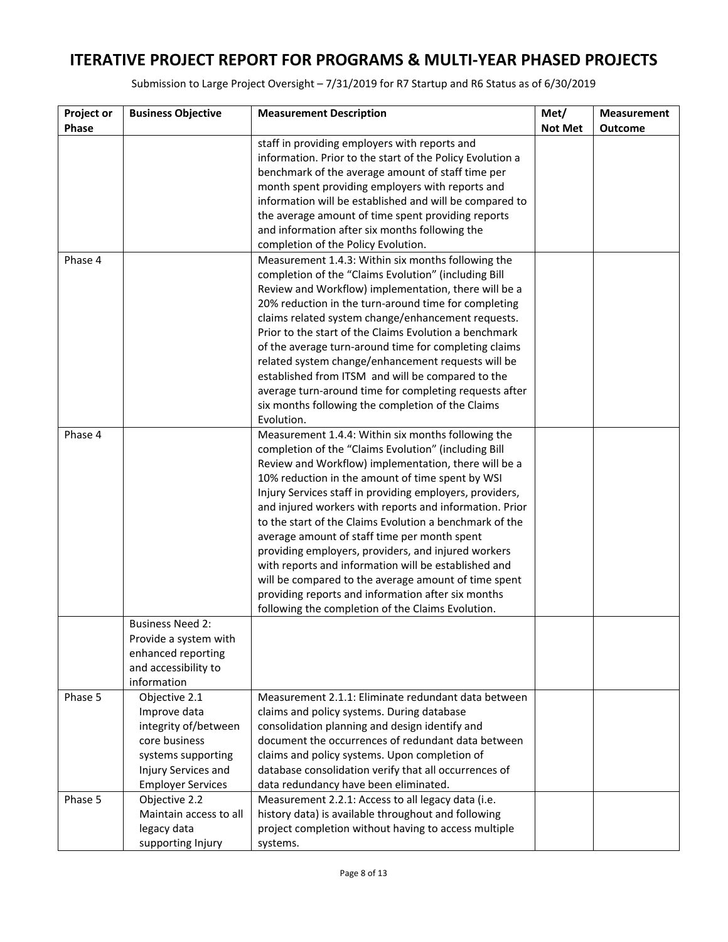| Project or<br><b>Business Objective</b><br><b>Measurement Description</b><br>Met/<br>Phase<br><b>Not Met</b><br><b>Outcome</b><br>staff in providing employers with reports and |  |
|---------------------------------------------------------------------------------------------------------------------------------------------------------------------------------|--|
|                                                                                                                                                                                 |  |
|                                                                                                                                                                                 |  |
| information. Prior to the start of the Policy Evolution a                                                                                                                       |  |
| benchmark of the average amount of staff time per                                                                                                                               |  |
| month spent providing employers with reports and                                                                                                                                |  |
| information will be established and will be compared to                                                                                                                         |  |
| the average amount of time spent providing reports                                                                                                                              |  |
| and information after six months following the                                                                                                                                  |  |
| completion of the Policy Evolution.                                                                                                                                             |  |
| Phase 4<br>Measurement 1.4.3: Within six months following the                                                                                                                   |  |
| completion of the "Claims Evolution" (including Bill                                                                                                                            |  |
| Review and Workflow) implementation, there will be a                                                                                                                            |  |
| 20% reduction in the turn-around time for completing                                                                                                                            |  |
| claims related system change/enhancement requests.                                                                                                                              |  |
| Prior to the start of the Claims Evolution a benchmark                                                                                                                          |  |
| of the average turn-around time for completing claims                                                                                                                           |  |
| related system change/enhancement requests will be                                                                                                                              |  |
| established from ITSM and will be compared to the                                                                                                                               |  |
| average turn-around time for completing requests after                                                                                                                          |  |
| six months following the completion of the Claims                                                                                                                               |  |
| Evolution.                                                                                                                                                                      |  |
| Phase 4<br>Measurement 1.4.4: Within six months following the                                                                                                                   |  |
| completion of the "Claims Evolution" (including Bill                                                                                                                            |  |
| Review and Workflow) implementation, there will be a                                                                                                                            |  |
| 10% reduction in the amount of time spent by WSI                                                                                                                                |  |
| Injury Services staff in providing employers, providers,                                                                                                                        |  |
| and injured workers with reports and information. Prior                                                                                                                         |  |
| to the start of the Claims Evolution a benchmark of the                                                                                                                         |  |
| average amount of staff time per month spent                                                                                                                                    |  |
| providing employers, providers, and injured workers                                                                                                                             |  |
| with reports and information will be established and                                                                                                                            |  |
| will be compared to the average amount of time spent                                                                                                                            |  |
| providing reports and information after six months                                                                                                                              |  |
| following the completion of the Claims Evolution.                                                                                                                               |  |
| <b>Business Need 2:</b>                                                                                                                                                         |  |
| Provide a system with                                                                                                                                                           |  |
| enhanced reporting                                                                                                                                                              |  |
| and accessibility to                                                                                                                                                            |  |
| information                                                                                                                                                                     |  |
| Phase 5<br>Objective 2.1<br>Measurement 2.1.1: Eliminate redundant data between                                                                                                 |  |
| Improve data<br>claims and policy systems. During database                                                                                                                      |  |
| integrity of/between<br>consolidation planning and design identify and                                                                                                          |  |
| core business<br>document the occurrences of redundant data between<br>claims and policy systems. Upon completion of<br>systems supporting                                      |  |
| Injury Services and<br>database consolidation verify that all occurrences of                                                                                                    |  |
| <b>Employer Services</b><br>data redundancy have been eliminated.                                                                                                               |  |
| Phase 5<br>Objective 2.2<br>Measurement 2.2.1: Access to all legacy data (i.e.                                                                                                  |  |
| Maintain access to all<br>history data) is available throughout and following                                                                                                   |  |
| legacy data<br>project completion without having to access multiple                                                                                                             |  |
| supporting Injury<br>systems.                                                                                                                                                   |  |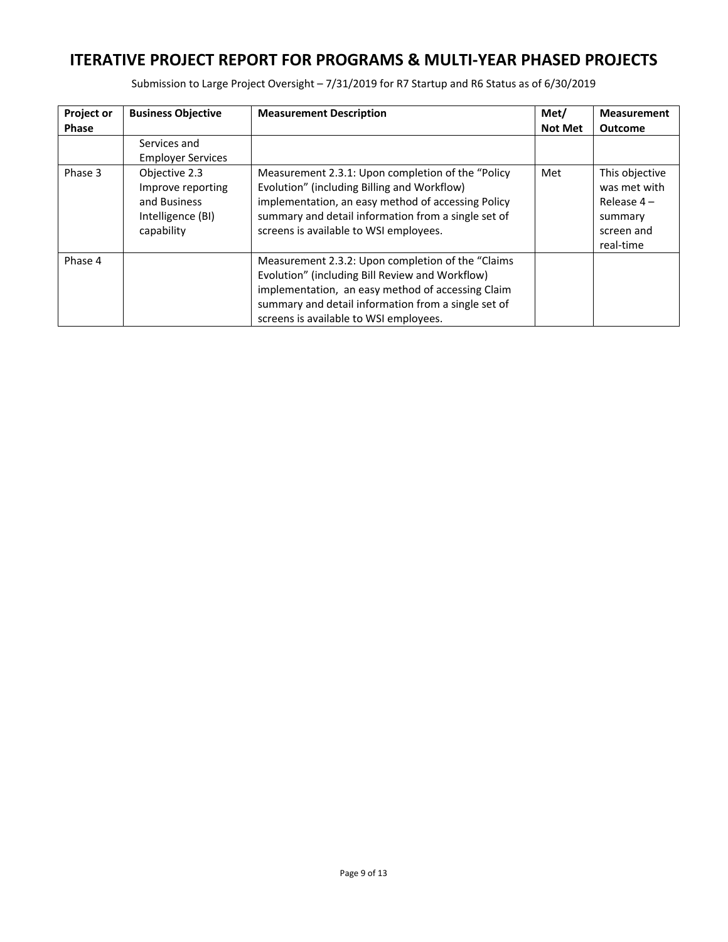| <b>Project or</b><br><b>Phase</b> | <b>Business Objective</b>                                                             | <b>Measurement Description</b>                                                                                                                                                                                                                              | Met/<br><b>Not Met</b> | <b>Measurement</b><br><b>Outcome</b>                                                 |
|-----------------------------------|---------------------------------------------------------------------------------------|-------------------------------------------------------------------------------------------------------------------------------------------------------------------------------------------------------------------------------------------------------------|------------------------|--------------------------------------------------------------------------------------|
|                                   | Services and<br><b>Employer Services</b>                                              |                                                                                                                                                                                                                                                             |                        |                                                                                      |
| Phase 3                           | Objective 2.3<br>Improve reporting<br>and Business<br>Intelligence (BI)<br>capability | Measurement 2.3.1: Upon completion of the "Policy"<br>Evolution" (including Billing and Workflow)<br>implementation, an easy method of accessing Policy<br>summary and detail information from a single set of<br>screens is available to WSI employees.    | Met                    | This objective<br>was met with<br>Release $4-$<br>summary<br>screen and<br>real-time |
| Phase 4                           |                                                                                       | Measurement 2.3.2: Upon completion of the "Claims"<br>Evolution" (including Bill Review and Workflow)<br>implementation, an easy method of accessing Claim<br>summary and detail information from a single set of<br>screens is available to WSI employees. |                        |                                                                                      |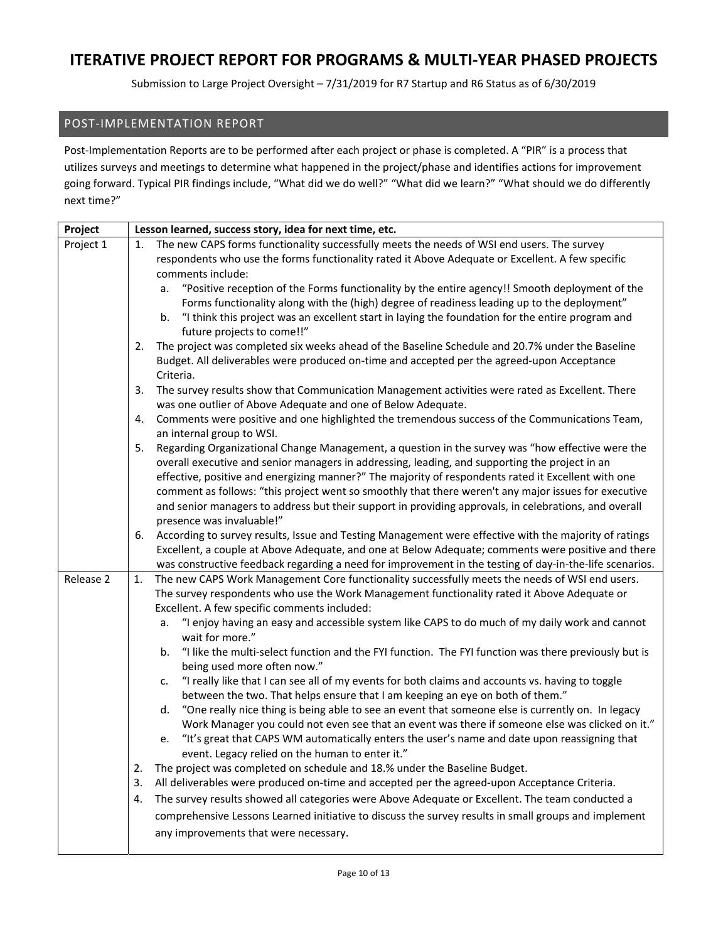Submission to Large Project Oversight – 7/31/2019 for R7 Startup and R6 Status as of 6/30/2019

### POST‐IMPLEMENTATION REPORT

Post-Implementation Reports are to be performed after each project or phase is completed. A "PIR" is a process that utilizes surveys and meetings to determine what happened in the project/phase and identifies actions for improvement going forward. Typical PIR findings include, "What did we do well?" "What did we learn?" "What should we do differently next time?"

| Project   | Lesson learned, success story, idea for next time, etc.                                                                                                                                             |
|-----------|-----------------------------------------------------------------------------------------------------------------------------------------------------------------------------------------------------|
| Project 1 | The new CAPS forms functionality successfully meets the needs of WSI end users. The survey<br>1.                                                                                                    |
|           | respondents who use the forms functionality rated it Above Adequate or Excellent. A few specific                                                                                                    |
|           | comments include:                                                                                                                                                                                   |
|           | "Positive reception of the Forms functionality by the entire agency!! Smooth deployment of the<br>a.                                                                                                |
|           | Forms functionality along with the (high) degree of readiness leading up to the deployment"                                                                                                         |
|           | "I think this project was an excellent start in laying the foundation for the entire program and<br>b.                                                                                              |
|           | future projects to come!!"                                                                                                                                                                          |
|           | 2.<br>The project was completed six weeks ahead of the Baseline Schedule and 20.7% under the Baseline                                                                                               |
|           | Budget. All deliverables were produced on-time and accepted per the agreed-upon Acceptance<br>Criteria.                                                                                             |
|           | 3.<br>The survey results show that Communication Management activities were rated as Excellent. There                                                                                               |
|           | was one outlier of Above Adequate and one of Below Adequate.                                                                                                                                        |
|           | Comments were positive and one highlighted the tremendous success of the Communications Team,<br>4.<br>an internal group to WSI.                                                                    |
|           | Regarding Organizational Change Management, a question in the survey was "how effective were the<br>5.                                                                                              |
|           | overall executive and senior managers in addressing, leading, and supporting the project in an                                                                                                      |
|           | effective, positive and energizing manner?" The majority of respondents rated it Excellent with one                                                                                                 |
|           | comment as follows: "this project went so smoothly that there weren't any major issues for executive                                                                                                |
|           | and senior managers to address but their support in providing approvals, in celebrations, and overall                                                                                               |
|           | presence was invaluable!"                                                                                                                                                                           |
|           | According to survey results, Issue and Testing Management were effective with the majority of ratings<br>6.                                                                                         |
|           | Excellent, a couple at Above Adequate, and one at Below Adequate; comments were positive and there                                                                                                  |
| Release 2 | was constructive feedback regarding a need for improvement in the testing of day-in-the-life scenarios.                                                                                             |
|           | The new CAPS Work Management Core functionality successfully meets the needs of WSI end users.<br>1.<br>The survey respondents who use the Work Management functionality rated it Above Adequate or |
|           | Excellent. A few specific comments included:                                                                                                                                                        |
|           | "I enjoy having an easy and accessible system like CAPS to do much of my daily work and cannot<br>а.                                                                                                |
|           | wait for more."                                                                                                                                                                                     |
|           | "I like the multi-select function and the FYI function. The FYI function was there previously but is<br>b.                                                                                          |
|           | being used more often now."<br>"I really like that I can see all of my events for both claims and accounts vs. having to toggle<br>c.                                                               |
|           | between the two. That helps ensure that I am keeping an eye on both of them."                                                                                                                       |
|           | "One really nice thing is being able to see an event that someone else is currently on. In legacy<br>d.                                                                                             |
|           | Work Manager you could not even see that an event was there if someone else was clicked on it."                                                                                                     |
|           | "It's great that CAPS WM automatically enters the user's name and date upon reassigning that<br>e.<br>event. Legacy relied on the human to enter it."                                               |
|           | The project was completed on schedule and 18.% under the Baseline Budget.<br>2.                                                                                                                     |
|           | All deliverables were produced on-time and accepted per the agreed-upon Acceptance Criteria.<br>3.                                                                                                  |
|           | The survey results showed all categories were Above Adequate or Excellent. The team conducted a<br>4.                                                                                               |
|           | comprehensive Lessons Learned initiative to discuss the survey results in small groups and implement                                                                                                |
|           | any improvements that were necessary.                                                                                                                                                               |
|           |                                                                                                                                                                                                     |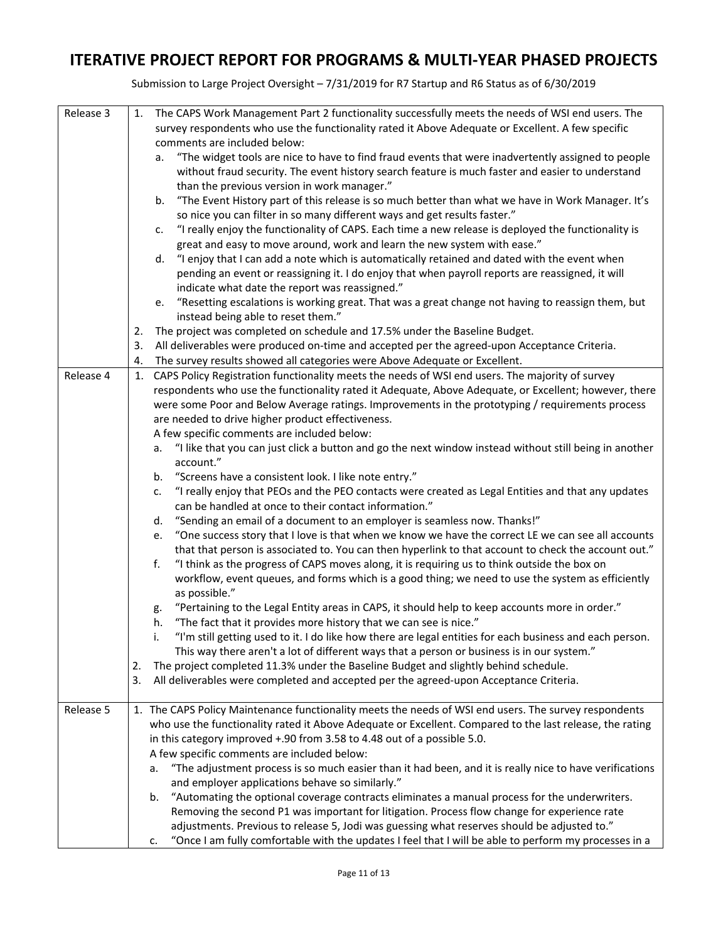| Release 3 | 1. | The CAPS Work Management Part 2 functionality successfully meets the needs of WSI end users. The                                                                                                       |
|-----------|----|--------------------------------------------------------------------------------------------------------------------------------------------------------------------------------------------------------|
|           |    | survey respondents who use the functionality rated it Above Adequate or Excellent. A few specific                                                                                                      |
|           |    | comments are included below:                                                                                                                                                                           |
|           |    | "The widget tools are nice to have to find fraud events that were inadvertently assigned to people<br>а.                                                                                               |
|           |    | without fraud security. The event history search feature is much faster and easier to understand                                                                                                       |
|           |    | than the previous version in work manager."                                                                                                                                                            |
|           |    | "The Event History part of this release is so much better than what we have in Work Manager. It's<br>b.<br>so nice you can filter in so many different ways and get results faster."                   |
|           |    | "I really enjoy the functionality of CAPS. Each time a new release is deployed the functionality is<br>c.                                                                                              |
|           |    | great and easy to move around, work and learn the new system with ease."                                                                                                                               |
|           |    | "I enjoy that I can add a note which is automatically retained and dated with the event when<br>d.<br>pending an event or reassigning it. I do enjoy that when payroll reports are reassigned, it will |
|           |    | indicate what date the report was reassigned."                                                                                                                                                         |
|           |    | e. "Resetting escalations is working great. That was a great change not having to reassign them, but                                                                                                   |
|           |    | instead being able to reset them."                                                                                                                                                                     |
|           | 2. | The project was completed on schedule and 17.5% under the Baseline Budget.                                                                                                                             |
|           | 3. | All deliverables were produced on-time and accepted per the agreed-upon Acceptance Criteria.                                                                                                           |
|           | 4. | The survey results showed all categories were Above Adequate or Excellent.                                                                                                                             |
| Release 4 | 1. | CAPS Policy Registration functionality meets the needs of WSI end users. The majority of survey                                                                                                        |
|           |    | respondents who use the functionality rated it Adequate, Above Adequate, or Excellent; however, there                                                                                                  |
|           |    | were some Poor and Below Average ratings. Improvements in the prototyping / requirements process                                                                                                       |
|           |    | are needed to drive higher product effectiveness.                                                                                                                                                      |
|           |    | A few specific comments are included below:                                                                                                                                                            |
|           |    | "I like that you can just click a button and go the next window instead without still being in another<br>a.                                                                                           |
|           |    | account."                                                                                                                                                                                              |
|           |    | "Screens have a consistent look. I like note entry."<br>b.                                                                                                                                             |
|           |    | "I really enjoy that PEOs and the PEO contacts were created as Legal Entities and that any updates<br>c.                                                                                               |
|           |    | can be handled at once to their contact information."                                                                                                                                                  |
|           |    | "Sending an email of a document to an employer is seamless now. Thanks!"<br>d.                                                                                                                         |
|           |    | "One success story that I love is that when we know we have the correct LE we can see all accounts<br>e.                                                                                               |
|           |    | that that person is associated to. You can then hyperlink to that account to check the account out."                                                                                                   |
|           |    | "I think as the progress of CAPS moves along, it is requiring us to think outside the box on<br>f.                                                                                                     |
|           |    | workflow, event queues, and forms which is a good thing; we need to use the system as efficiently                                                                                                      |
|           |    | as possible."                                                                                                                                                                                          |
|           |    | "Pertaining to the Legal Entity areas in CAPS, it should help to keep accounts more in order."<br>g.                                                                                                   |
|           |    | "The fact that it provides more history that we can see is nice."<br>h.                                                                                                                                |
|           |    | "I'm still getting used to it. I do like how there are legal entities for each business and each person.                                                                                               |
|           |    | This way there aren't a lot of different ways that a person or business is in our system."                                                                                                             |
|           | 2. | The project completed 11.3% under the Baseline Budget and slightly behind schedule.                                                                                                                    |
|           | 3. | All deliverables were completed and accepted per the agreed-upon Acceptance Criteria.                                                                                                                  |
| Release 5 |    | 1. The CAPS Policy Maintenance functionality meets the needs of WSI end users. The survey respondents                                                                                                  |
|           |    | who use the functionality rated it Above Adequate or Excellent. Compared to the last release, the rating                                                                                               |
|           |    | in this category improved +.90 from 3.58 to 4.48 out of a possible 5.0.                                                                                                                                |
|           |    | A few specific comments are included below:                                                                                                                                                            |
|           |    | "The adjustment process is so much easier than it had been, and it is really nice to have verifications<br>a.                                                                                          |
|           |    | and employer applications behave so similarly."                                                                                                                                                        |
|           |    | "Automating the optional coverage contracts eliminates a manual process for the underwriters.<br>b.                                                                                                    |
|           |    | Removing the second P1 was important for litigation. Process flow change for experience rate                                                                                                           |
|           |    | adjustments. Previous to release 5, Jodi was guessing what reserves should be adjusted to."                                                                                                            |
|           |    | "Once I am fully comfortable with the updates I feel that I will be able to perform my processes in a<br>c.                                                                                            |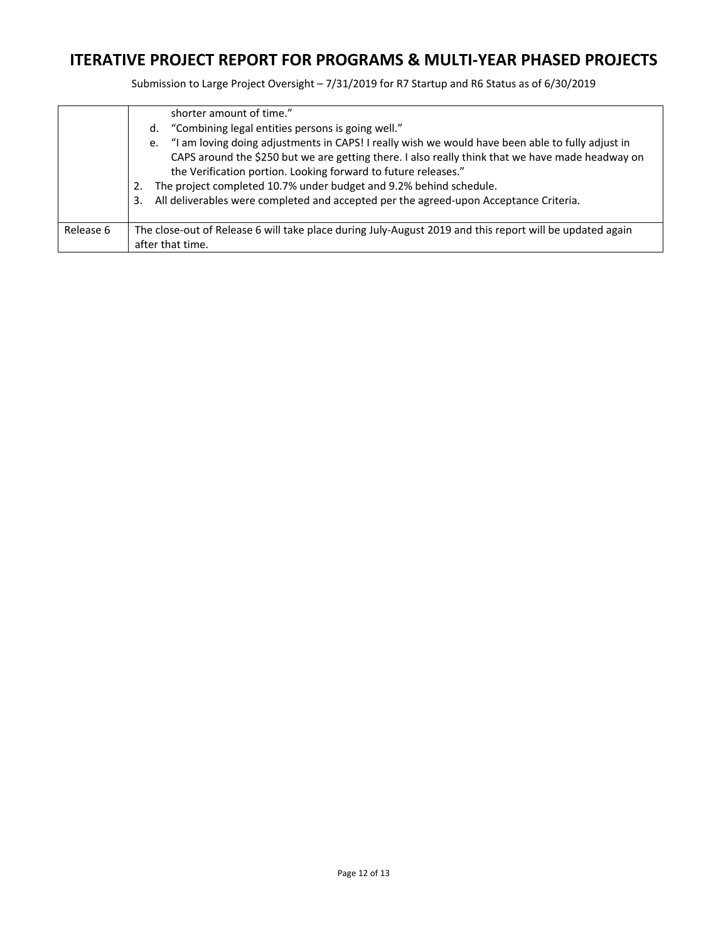|           | shorter amount of time."<br>"Combining legal entities persons is going well."<br>d.<br>"I am loving doing adjustments in CAPS! I really wish we would have been able to fully adjust in<br>e.<br>CAPS around the \$250 but we are getting there. I also really think that we have made headway on<br>the Verification portion. Looking forward to future releases."<br>The project completed 10.7% under budget and 9.2% behind schedule.<br>2.<br>All deliverables were completed and accepted per the agreed-upon Acceptance Criteria.<br>3. |
|-----------|------------------------------------------------------------------------------------------------------------------------------------------------------------------------------------------------------------------------------------------------------------------------------------------------------------------------------------------------------------------------------------------------------------------------------------------------------------------------------------------------------------------------------------------------|
| Release 6 | The close-out of Release 6 will take place during July-August 2019 and this report will be updated again<br>after that time.                                                                                                                                                                                                                                                                                                                                                                                                                   |